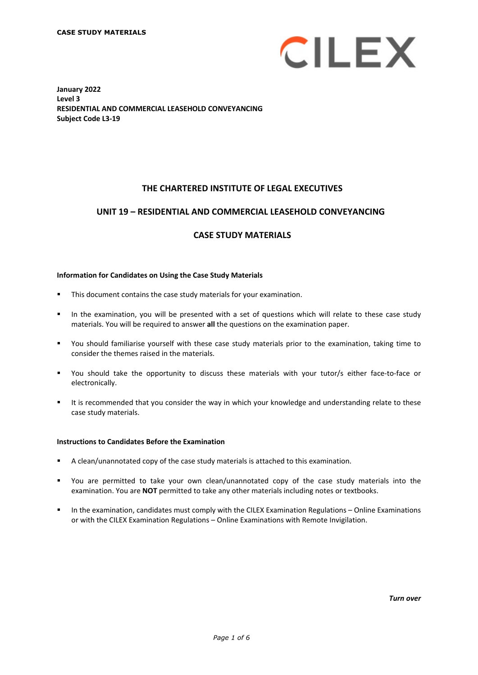

**January 2022 Level 3 RESIDENTIAL AND COMMERCIAL LEASEHOLD CONVEYANCING Subject Code L3-19**

### **THE CHARTERED INSTITUTE OF LEGAL EXECUTIVES**

#### **UNIT 19 – RESIDENTIAL AND COMMERCIAL LEASEHOLD CONVEYANCING\***

### **CASE STUDY MATERIALS**

#### **Information for Candidates on Using the Case Study Materials**

- This document contains the case study materials for your examination.
- In the examination, you will be presented with a set of questions which will relate to these case study materials. You will be required to answer **all** the questions on the examination paper.
- You should familiarise yourself with these case study materials prior to the examination, taking time to consider the themes raised in the materials.
- You should take the opportunity to discuss these materials with your tutor/s either face-to-face or electronically.
- It is recommended that you consider the way in which your knowledge and understanding relate to these case study materials.

#### **Instructions to Candidates Before the Examination**

- A clean/unannotated copy of the case study materials is attached to this examination.
- You are permitted to take your own clean/unannotated copy of the case study materials into the examination. You are **NOT** permitted to take any other materials including notes or textbooks.
- In the examination, candidates must comply with the CILEX Examination Regulations Online Examinations or with the CILEX Examination Regulations – Online Examinations with Remote Invigilation.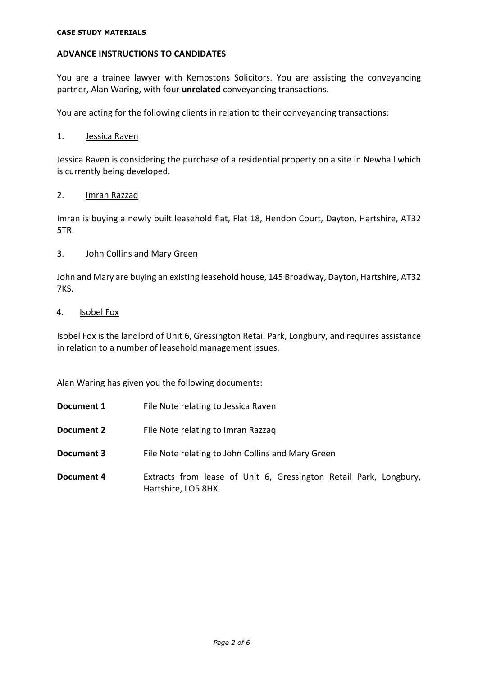### **ADVANCE INSTRUCTIONS TO CANDIDATES**

You are a trainee lawyer with Kempstons Solicitors. You are assisting the conveyancing partner, Alan Waring, with four **unrelated** conveyancing transactions.

You are acting for the following clients in relation to their conveyancing transactions:

#### 1. Jessica Raven

Jessica Raven is considering the purchase of a residential property on a site in Newhall which is currently being developed.

### 2. Imran Razzaq

Imran is buying a newly built leasehold flat, Flat 18, Hendon Court, Dayton, Hartshire, AT32 5TR.

#### 3. John Collins and Mary Green

John and Mary are buying an existing leasehold house, 145 Broadway, Dayton, Hartshire, AT32 7KS.

#### 4. Isobel Fox

Isobel Fox is the landlord of Unit 6, Gressington Retail Park, Longbury, and requires assistance in relation to a number of leasehold management issues.

Alan Waring has given you the following documents:

- **Document 1** File Note relating to Jessica Raven
- **Document 2** File Note relating to Imran Razzaq
- **Document 3** File Note relating to John Collins and Mary Green
- **Document 4** Extracts from lease of Unit 6, Gressington Retail Park, Longbury, Hartshire, LO5 8HX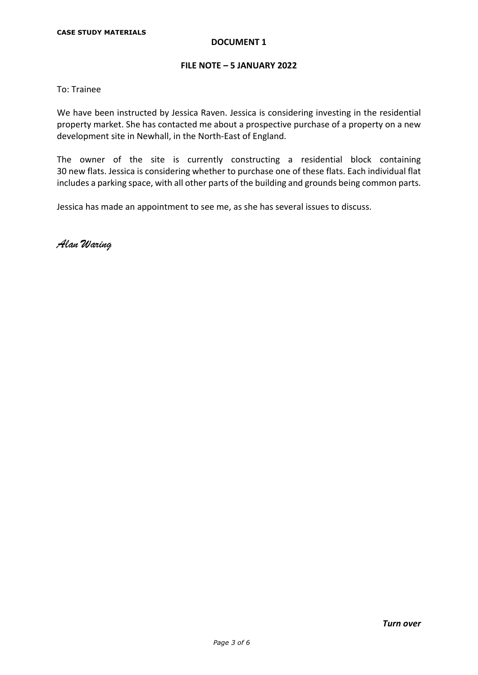### **FILE NOTE – 5 JANUARY 2022**

To: Trainee

We have been instructed by Jessica Raven. Jessica is considering investing in the residential property market. She has contacted me about a prospective purchase of a property on a new development site in Newhall, in the North-East of England.

The owner of the site is currently constructing a residential block containing 30 new flats. Jessica is considering whether to purchase one of these flats. Each individual flat includes a parking space, with all other parts of the building and grounds being common parts.

Jessica has made an appointment to see me, as she has several issues to discuss.

Alan Waring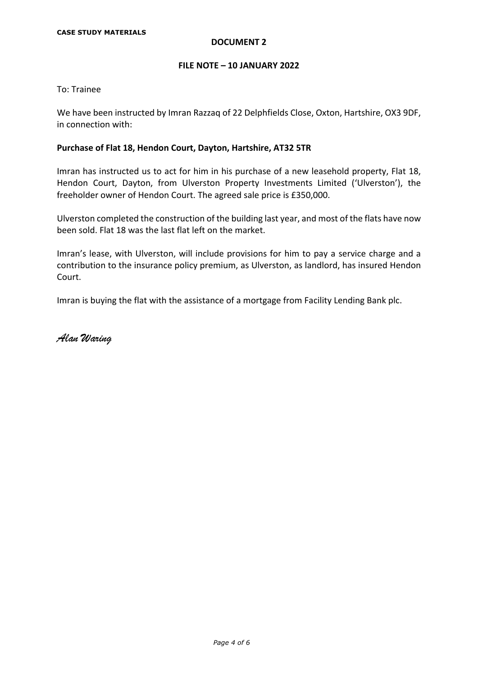### **FILE NOTE – 10 JANUARY 2022**

To: Trainee

We have been instructed by Imran Razzaq of 22 Delphfields Close, Oxton, Hartshire, OX3 9DF, in connection with:

### **Purchase of Flat 18, Hendon Court, Dayton, Hartshire, AT32 5TR**

Imran has instructed us to act for him in his purchase of a new leasehold property, Flat 18, Hendon Court, Dayton, from Ulverston Property Investments Limited ('Ulverston'), the freeholder owner of Hendon Court. The agreed sale price is £350,000.

Ulverston completed the construction of the building last year, and most of the flats have now been sold. Flat 18 was the last flat left on the market.

Imran's lease, with Ulverston, will include provisions for him to pay a service charge and a contribution to the insurance policy premium, as Ulverston, as landlord, has insured Hendon Court.

Imran is buying the flat with the assistance of a mortgage from Facility Lending Bank plc.

Alan Waring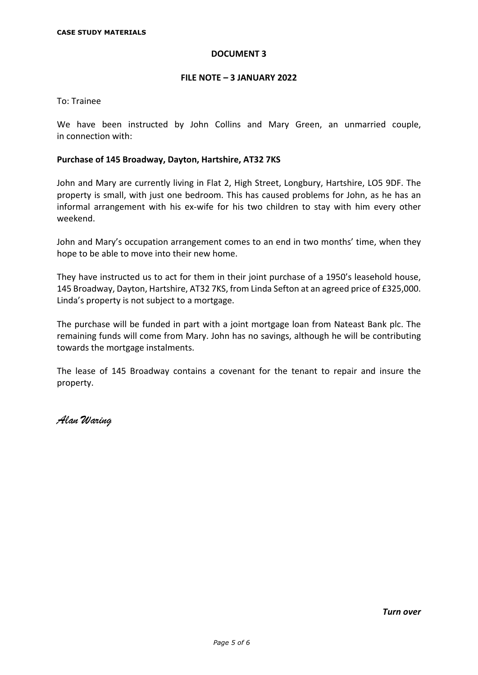### **FILE NOTE – 3 JANUARY 2022**

To: Trainee

We have been instructed by John Collins and Mary Green, an unmarried couple, in connection with:

### **Purchase of 145 Broadway, Dayton, Hartshire, AT32 7KS**

John and Mary are currently living in Flat 2, High Street, Longbury, Hartshire, LO5 9DF. The property is small, with just one bedroom. This has caused problems for John, as he has an informal arrangement with his ex-wife for his two children to stay with him every other weekend.

John and Mary's occupation arrangement comes to an end in two months' time, when they hope to be able to move into their new home.

They have instructed us to act for them in their joint purchase of a 1950's leasehold house, 145 Broadway, Dayton, Hartshire, AT32 7KS, from Linda Sefton at an agreed price of £325,000. Linda's property is not subject to a mortgage.

The purchase will be funded in part with a joint mortgage loan from Nateast Bank plc. The remaining funds will come from Mary. John has no savings, although he will be contributing towards the mortgage instalments.

The lease of 145 Broadway contains a covenant for the tenant to repair and insure the property.

Alan Waring